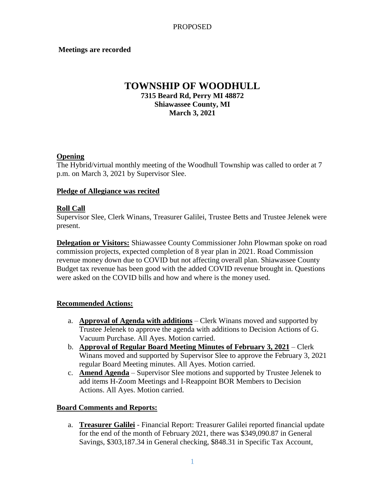### **Meetings are recorded**

# **TOWNSHIP OF WOODHULL 7315 Beard Rd, Perry MI 48872 Shiawassee County, MI March 3, 2021**

### **Opening**

The Hybrid/virtual monthly meeting of the Woodhull Township was called to order at 7 p.m. on March 3, 2021 by Supervisor Slee.

#### **Pledge of Allegiance was recited**

#### **Roll Call**

Supervisor Slee, Clerk Winans, Treasurer Galilei, Trustee Betts and Trustee Jelenek were present.

**Delegation or Visitors:** Shiawassee County Commissioner John Plowman spoke on road commission projects, expected completion of 8 year plan in 2021. Road Commission revenue money down due to COVID but not affecting overall plan. Shiawassee County Budget tax revenue has been good with the added COVID revenue brought in. Questions were asked on the COVID bills and how and where is the money used.

# **Recommended Actions:**

- a. **Approval of Agenda with additions** Clerk Winans moved and supported by Trustee Jelenek to approve the agenda with additions to Decision Actions of G. Vacuum Purchase. All Ayes. Motion carried.
- b. **Approval of Regular Board Meeting Minutes of February 3, 2021** Clerk Winans moved and supported by Supervisor Slee to approve the February 3, 2021 regular Board Meeting minutes. All Ayes. Motion carried.
- c. **Amend Agenda** Supervisor Slee motions and supported by Trustee Jelenek to add items H-Zoom Meetings and I-Reappoint BOR Members to Decision Actions. All Ayes. Motion carried.

# **Board Comments and Reports:**

a. **Treasurer Galilei** - Financial Report: Treasurer Galilei reported financial update for the end of the month of February 2021, there was \$349,090.87 in General Savings, \$303,187.34 in General checking, \$848.31 in Specific Tax Account,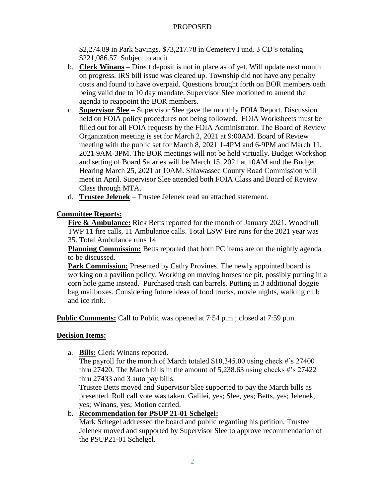### PROPOSED

\$2,274.89 in Park Savings. \$73,217.78 in Cemetery Fund. 3 CD's totaling \$221,086.57. Subject to audit.

- b. **Clerk Winans** Direct deposit is not in place as of yet. Will update next month on progress. IRS bill issue was cleared up. Township did not have any penalty costs and found to have overpaid. Questions brought forth on BOR members oath being valid due to 10 day mandate. Supervisor Slee motioned to amend the agenda to reappoint the BOR members.
- c. **Supervisor Slee** Supervisor Slee gave the monthly FOIA Report. Discussion held on FOIA policy procedures not being followed. FOIA Worksheets must be filled out for all FOIA requests by the FOIA Administrator. The Board of Review Organization meeting is set for March 2, 2021 at 9:00AM. Board of Review meeting with the public set for March 8, 2021 1-4PM and 6-9PM and March 11, 2021 9AM-3PM. The BOR meetings will not be held virtually. Budget Workshop and setting of Board Salaries will be March 15, 2021 at 10AM and the Budget Hearing March 25, 2021 at 10AM. Shiawassee County Road Commission will meet in April. Supervisor Slee attended both FOIA Class and Board of Review Class through MTA.
- d. **Trustee Jelenek** Trustee Jelenek read an attached statement.

### **Committee Reports:**

**Fire & Ambulance:** Rick Betts reported for the month of January 2021. Woodhull TWP 11 fire calls, 11 Ambulance calls. Total LSW Fire runs for the 2021 year was 35. Total Ambulance runs 14.

**Planning Commission:** Betts reported that both PC items are on the nightly agenda to be discussed.

Park Commission: Presented by Cathy Provines. The newly appointed board is working on a pavilion policy. Working on moving horseshoe pit, possibly putting in a corn hole game instead. Purchased trash can barrels. Putting in 3 additional doggie bag mailboxes. Considering future ideas of food trucks, movie nights, walking club and ice rink.

**Public Comments:** Call to Public was opened at 7:54 p.m.; closed at 7:59 p.m.

#### **Decision Items:**

a. **Bills:** Clerk Winans reported.

The payroll for the month of March totaled \$10,345.00 using check #'s 27400 thru 27420. The March bills in the amount of 5,238.63 using checks #'s 27422 thru 27433 and 3 auto pay bills.

Trustee Betts moved and Supervisor Slee supported to pay the March bills as presented. Roll call vote was taken. Galilei, yes; Slee, yes; Betts, yes; Jelenek, yes; Winans, yes; Motion carried.

b. **Recommendation for PSUP 21-01 Schelgel:**

Mark Schegel addressed the board and public regarding his petition. Trustee Jelenek moved and supported by Supervisor Slee to approve recommendation of the PSUP21-01 Schelgel.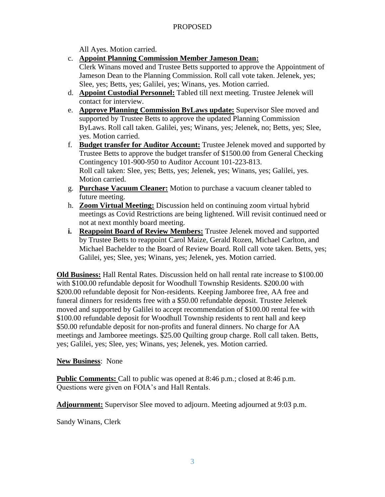# PROPOSED

All Ayes. Motion carried.

c. **Appoint Planning Commission Member Jameson Dean:**

Clerk Winans moved and Trustee Betts supported to approve the Appointment of Jameson Dean to the Planning Commission. Roll call vote taken. Jelenek, yes; Slee, yes; Betts, yes; Galilei, yes; Winans, yes. Motion carried.

- d. **Appoint Custodial Personnel:** Tabled till next meeting. Trustee Jelenek will contact for interview.
- e. **Approve Planning Commission ByLaws update:** Supervisor Slee moved and supported by Trustee Betts to approve the updated Planning Commission ByLaws. Roll call taken. Galilei, yes; Winans, yes; Jelenek, no; Betts, yes; Slee, yes. Motion carried.
- f. **Budget transfer for Auditor Account:** Trustee Jelenek moved and supported by Trustee Betts to approve the budget transfer of \$1500.00 from General Checking Contingency 101-900-950 to Auditor Account 101-223-813. Roll call taken: Slee, yes; Betts, yes; Jelenek, yes; Winans, yes; Galilei, yes. Motion carried.
- g. **Purchase Vacuum Cleaner:** Motion to purchase a vacuum cleaner tabled to future meeting.
- h. **Zoom Virtual Meeting:** Discussion held on continuing zoom virtual hybrid meetings as Covid Restrictions are being lightened. Will revisit continued need or not at next monthly board meeting.
- **i. Reappoint Board of Review Members:** Trustee Jelenek moved and supported by Trustee Betts to reappoint Carol Maize, Gerald Rozen, Michael Carlton, and Michael Bachelder to the Board of Review Board. Roll call vote taken. Betts, yes; Galilei, yes; Slee, yes; Winans, yes; Jelenek, yes. Motion carried.

**Old Business:** Hall Rental Rates. Discussion held on hall rental rate increase to \$100.00 with \$100.00 refundable deposit for Woodhull Township Residents. \$200.00 with \$200.00 refundable deposit for Non-residents. Keeping Jamboree free, AA free and funeral dinners for residents free with a \$50.00 refundable deposit. Trustee Jelenek moved and supported by Galilei to accept recommendation of \$100.00 rental fee with \$100.00 refundable deposit for Woodhull Township residents to rent hall and keep \$50.00 refundable deposit for non-profits and funeral dinners. No charge for AA meetings and Jamboree meetings. \$25.00 Quilting group charge. Roll call taken. Betts, yes; Galilei, yes; Slee, yes; Winans, yes; Jelenek, yes. Motion carried.

# **New Business**: None

**Public Comments:** Call to public was opened at 8:46 p.m.; closed at 8:46 p.m. Questions were given on FOIA's and Hall Rentals.

**Adjournment:** Supervisor Slee moved to adjourn. Meeting adjourned at 9:03 p.m.

Sandy Winans, Clerk